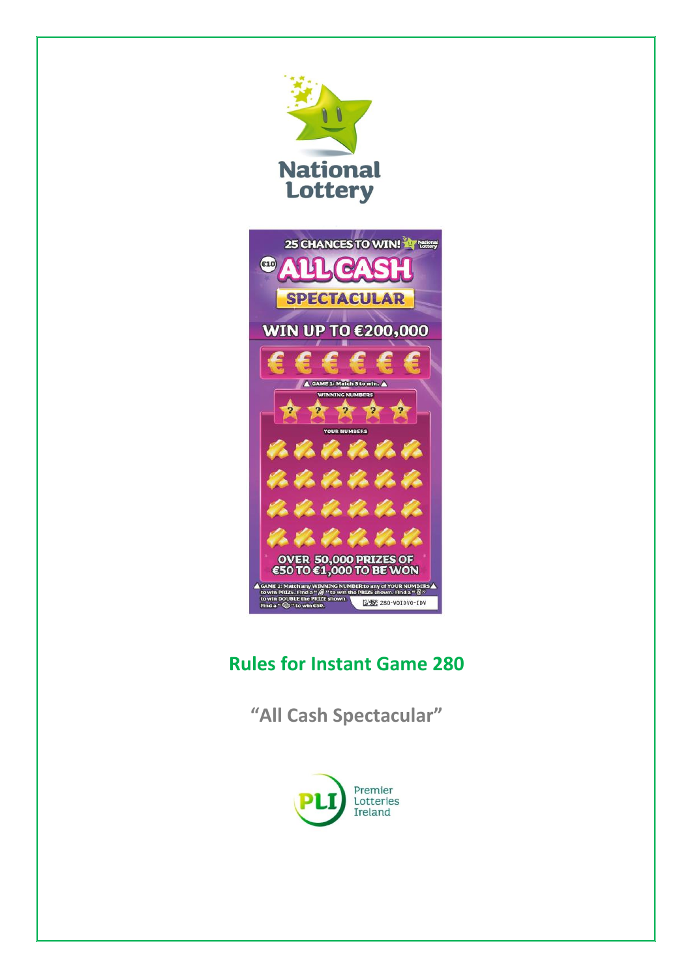

# **Rules for Instant Game 280**

**"All Cash Spectacular"**

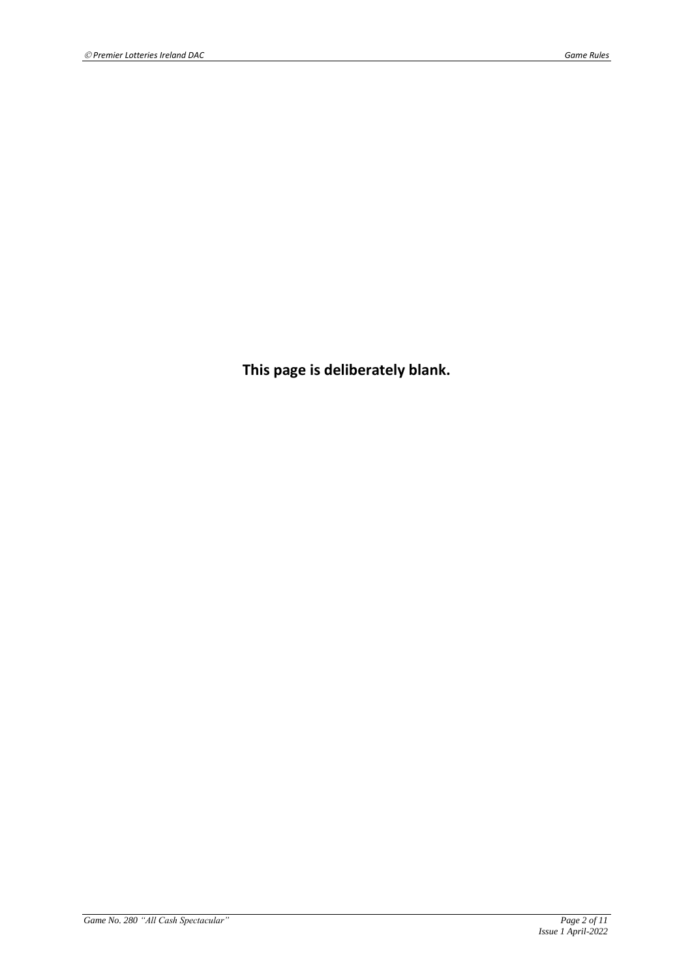**This page is deliberately blank.**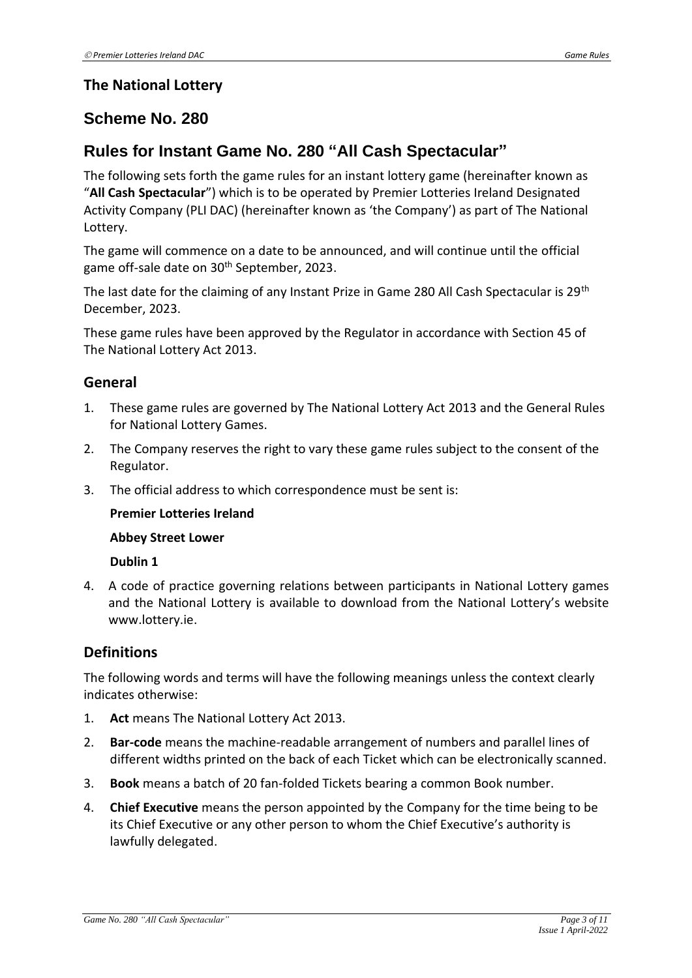# **The National Lottery**

# **Scheme No. 280**

# **Rules for Instant Game No. 280 "All Cash Spectacular"**

The following sets forth the game rules for an instant lottery game (hereinafter known as "**All Cash Spectacular**") which is to be operated by Premier Lotteries Ireland Designated Activity Company (PLI DAC) (hereinafter known as 'the Company') as part of The National Lottery.

The game will commence on a date to be announced, and will continue until the official game off-sale date on 30<sup>th</sup> September, 2023.

The last date for the claiming of any Instant Prize in Game 280 All Cash Spectacular is 29<sup>th</sup> December, 2023.

These game rules have been approved by the Regulator in accordance with Section 45 of The National Lottery Act 2013.

# **General**

- 1. These game rules are governed by The National Lottery Act 2013 and the General Rules for National Lottery Games.
- 2. The Company reserves the right to vary these game rules subject to the consent of the Regulator.
- 3. The official address to which correspondence must be sent is:

#### **Premier Lotteries Ireland**

#### **Abbey Street Lower**

#### **Dublin 1**

4. A code of practice governing relations between participants in National Lottery games and the National Lottery is available to download from the National Lottery's website [www.lottery.ie.](http://www.lottery.ie/)

# **Definitions**

The following words and terms will have the following meanings unless the context clearly indicates otherwise:

- 1. **Act** means The National Lottery Act 2013.
- 2. **Bar-code** means the machine-readable arrangement of numbers and parallel lines of different widths printed on the back of each Ticket which can be electronically scanned.
- 3. **Book** means a batch of 20 fan-folded Tickets bearing a common Book number.
- 4. **Chief Executive** means the person appointed by the Company for the time being to be its Chief Executive or any other person to whom the Chief Executive's authority is lawfully delegated.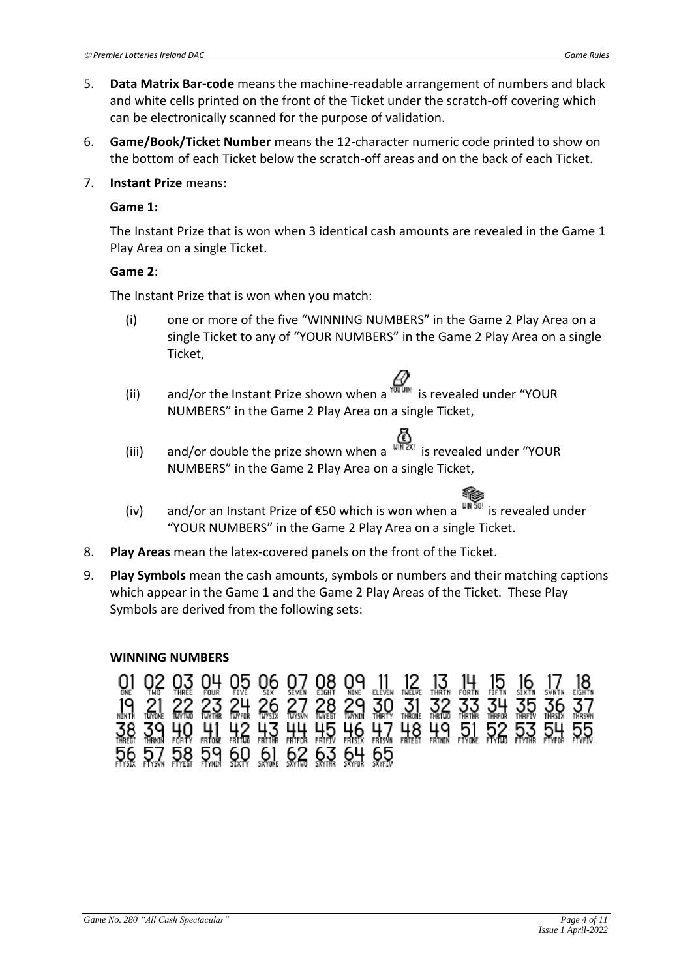- 5. **Data Matrix Bar-code** means the machine-readable arrangement of numbers and black and white cells printed on the front of the Ticket under the scratch-off covering which can be electronically scanned for the purpose of validation.
- 6. **Game/Book/Ticket Number** means the 12-character numeric code printed to show on the bottom of each Ticket below the scratch-off areas and on the back of each Ticket.
- 7. **Instant Prize** means:

#### **Game 1:**

The Instant Prize that is won when 3 identical cash amounts are revealed in the Game 1 Play Area on a single Ticket.

#### **Game 2**:

The Instant Prize that is won when you match:

- (i) one or more of the five "WINNING NUMBERS" in the Game 2 Play Area on a single Ticket to any of "YOUR NUMBERS" in the Game 2 Play Area on a single Ticket,
- (ii) and/or the Instant Prize shown when a  $\mathbb{R}$  is revealed under "YOUR NUMBERS" in the Game 2 Play Area on a single Ticket,
- (iii) and/or double the prize shown when a  $\bigoplus_{u \mid w \mid 2x}$  is revealed under "YOUR NUMBERS" in the Game 2 Play Area on a single Ticket,
- (iv) and/or an Instant Prize of  $\epsilon$ 50 which is won when a  $\frac{u}{v}$  is revealed under "YOUR NUMBERS" in the Game 2 Play Area on a single Ticket.
- 8. **Play Areas** mean the latex-covered panels on the front of the Ticket.
- 9. **Play Symbols** mean the cash amounts, symbols or numbers and their matching captions which appear in the Game 1 and the Game 2 Play Areas of the Ticket. These Play Symbols are derived from the following sets:

#### **WINNING NUMBERS**

|  |  |  |                               |  |  |  |  | 01 02 03 04 05 06 07 08 09 11 12 13 14 15 16 17 18              |  |
|--|--|--|-------------------------------|--|--|--|--|-----------------------------------------------------------------|--|
|  |  |  |                               |  |  |  |  | 19 21 22 23 24 26 27 28 29 30 31 32 33 34 35 36 37              |  |
|  |  |  |                               |  |  |  |  | <u> 결망 결정 밖에 뛰어 버려 밖을 밖을 밝은 밖의 밖의 밝은 밖에 벌어 있을 같은 같은 같은 같은 것</u> |  |
|  |  |  | 56 57 58 59 69 51 62 63 63 64 |  |  |  |  |                                                                 |  |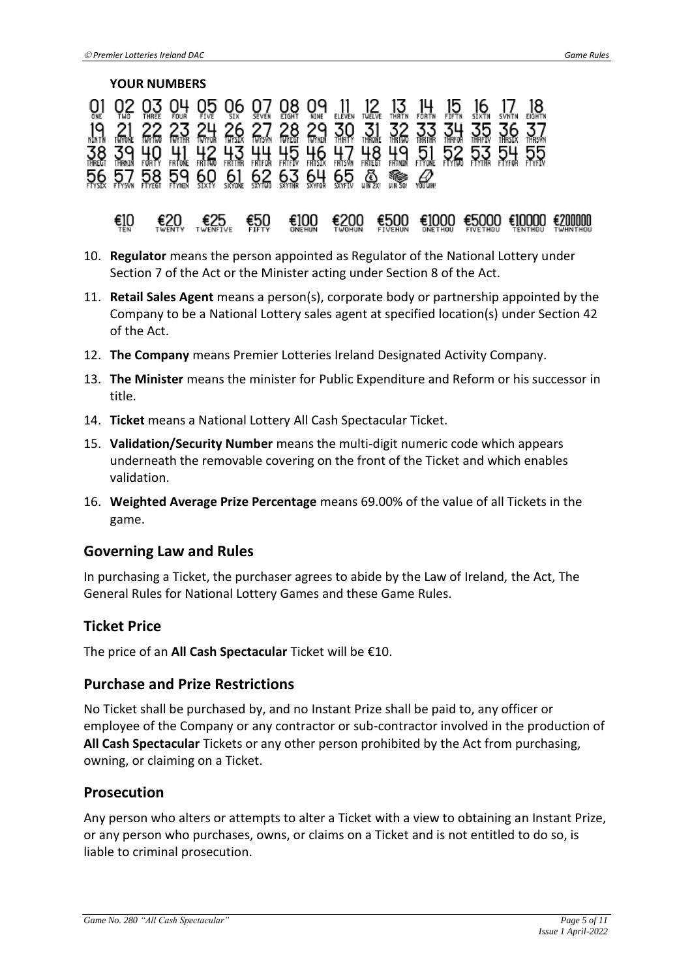#### **YOUR NUMBERS**

|  |  |  |                                              |  |  |  | 19 .21 .22 .23 .24 .26 23 28 29 30 .31 .32 .33 .34 .35 .36 .37 |  |  |
|--|--|--|----------------------------------------------|--|--|--|----------------------------------------------------------------|--|--|
|  |  |  |                                              |  |  |  | 38 39 40 41 42 #3 44 #5 #6 #5 #7 #8 #9 51 52 53 54 55          |  |  |
|  |  |  | 56 57 58 59 60 61 62 63 64 65 @ ® ® <i>@</i> |  |  |  |                                                                |  |  |
|  |  |  |                                              |  |  |  |                                                                |  |  |

 $£20$   $£25$   $£50$   $£100$   $£200$   $£500$   $£1000$   $£5000$  €10000 €200000 €10

- 10. **Regulator** means the person appointed as Regulator of the National Lottery under Section 7 of the Act or the Minister acting under Section 8 of the Act.
- 11. **Retail Sales Agent** means a person(s), corporate body or partnership appointed by the Company to be a National Lottery sales agent at specified location(s) under Section 42 of the Act.
- 12. **The Company** means Premier Lotteries Ireland Designated Activity Company.
- 13. **The Minister** means the minister for Public Expenditure and Reform or his successor in title.
- 14. **Ticket** means a National Lottery All Cash Spectacular Ticket.
- 15. **Validation/Security Number** means the multi-digit numeric code which appears underneath the removable covering on the front of the Ticket and which enables validation.
- 16. **Weighted Average Prize Percentage** means 69.00% of the value of all Tickets in the game.

#### **Governing Law and Rules**

In purchasing a Ticket, the purchaser agrees to abide by the Law of Ireland, the Act, The General Rules for National Lottery Games and these Game Rules.

### **Ticket Price**

The price of an **All Cash Spectacular** Ticket will be €10.

### **Purchase and Prize Restrictions**

No Ticket shall be purchased by, and no Instant Prize shall be paid to, any officer or employee of the Company or any contractor or sub-contractor involved in the production of **All Cash Spectacular** Tickets or any other person prohibited by the Act from purchasing, owning, or claiming on a Ticket.

### **Prosecution**

Any person who alters or attempts to alter a Ticket with a view to obtaining an Instant Prize, or any person who purchases, owns, or claims on a Ticket and is not entitled to do so, is liable to criminal prosecution.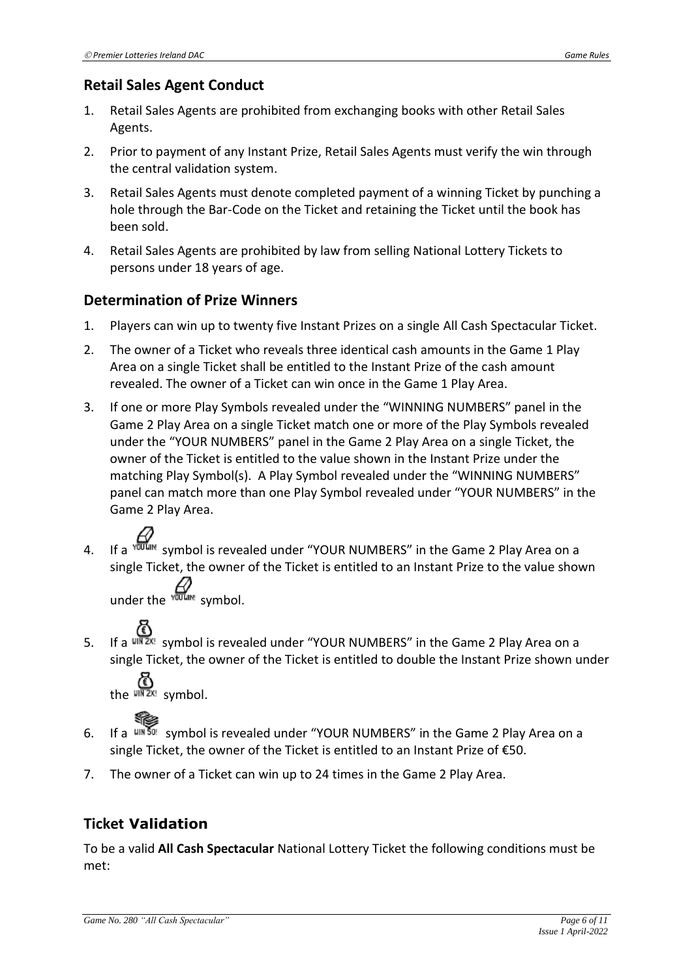# **Retail Sales Agent Conduct**

- 1. Retail Sales Agents are prohibited from exchanging books with other Retail Sales Agents.
- 2. Prior to payment of any Instant Prize, Retail Sales Agents must verify the win through the central validation system.
- 3. Retail Sales Agents must denote completed payment of a winning Ticket by punching a hole through the Bar-Code on the Ticket and retaining the Ticket until the book has been sold.
- 4. Retail Sales Agents are prohibited by law from selling National Lottery Tickets to persons under 18 years of age.

# **Determination of Prize Winners**

- 1. Players can win up to twenty five Instant Prizes on a single All Cash Spectacular Ticket.
- 2. The owner of a Ticket who reveals three identical cash amounts in the Game 1 Play Area on a single Ticket shall be entitled to the Instant Prize of the cash amount revealed. The owner of a Ticket can win once in the Game 1 Play Area.
- 3. If one or more Play Symbols revealed under the "WINNING NUMBERS" panel in the Game 2 Play Area on a single Ticket match one or more of the Play Symbols revealed under the "YOUR NUMBERS" panel in the Game 2 Play Area on a single Ticket, the owner of the Ticket is entitled to the value shown in the Instant Prize under the matching Play Symbol(s). A Play Symbol revealed under the "WINNING NUMBERS" panel can match more than one Play Symbol revealed under "YOUR NUMBERS" in the Game 2 Play Area.
- 4. If a YOUMINE symbol is revealed under "YOUR NUMBERS" in the Game 2 Play Area on a single Ticket, the owner of the Ticket is entitled to an Instant Prize to the value shown

under the  $\mathcal{Q}$  symbol.

5. If a will 20 symbol is revealed under "YOUR NUMBERS" in the Game 2 Play Area on a single Ticket, the owner of the Ticket is entitled to double the Instant Prize shown under

the WINZXI symbol.

- 6. If a unisor symbol is revealed under "YOUR NUMBERS" in the Game 2 Play Area on a single Ticket, the owner of the Ticket is entitled to an Instant Prize of €50.
- 7. The owner of a Ticket can win up to 24 times in the Game 2 Play Area.

# **Ticket Validation**

To be a valid **All Cash Spectacular** National Lottery Ticket the following conditions must be met: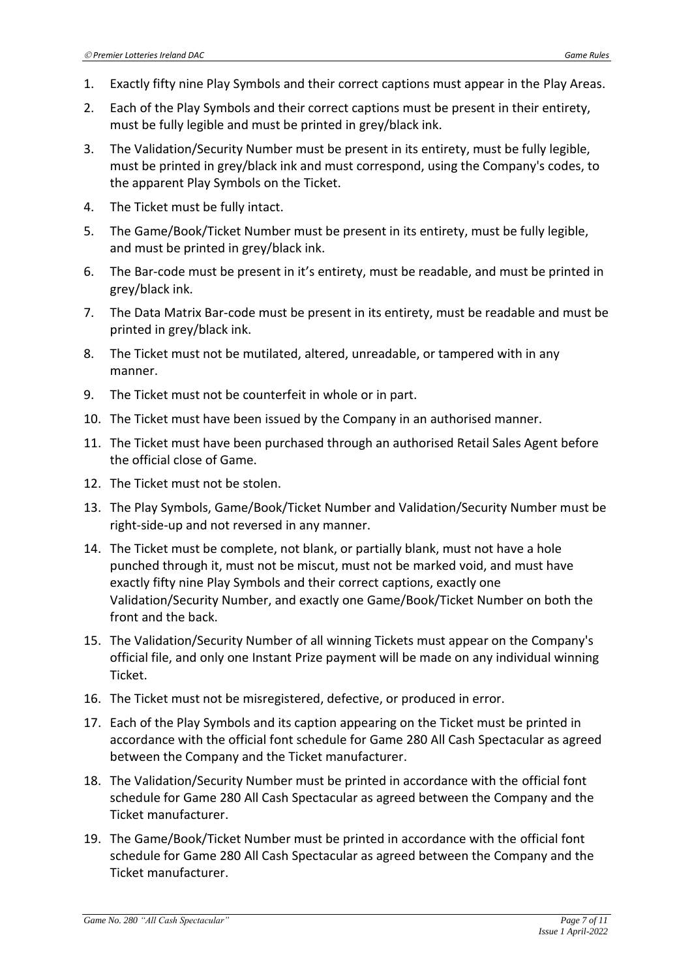- 1. Exactly fifty nine Play Symbols and their correct captions must appear in the Play Areas.
- 2. Each of the Play Symbols and their correct captions must be present in their entirety, must be fully legible and must be printed in grey/black ink.
- 3. The Validation/Security Number must be present in its entirety, must be fully legible, must be printed in grey/black ink and must correspond, using the Company's codes, to the apparent Play Symbols on the Ticket.
- 4. The Ticket must be fully intact.
- 5. The Game/Book/Ticket Number must be present in its entirety, must be fully legible, and must be printed in grey/black ink.
- 6. The Bar-code must be present in it's entirety, must be readable, and must be printed in grey/black ink.
- 7. The Data Matrix Bar-code must be present in its entirety, must be readable and must be printed in grey/black ink.
- 8. The Ticket must not be mutilated, altered, unreadable, or tampered with in any manner.
- 9. The Ticket must not be counterfeit in whole or in part.
- 10. The Ticket must have been issued by the Company in an authorised manner.
- 11. The Ticket must have been purchased through an authorised Retail Sales Agent before the official close of Game.
- 12. The Ticket must not be stolen.
- 13. The Play Symbols, Game/Book/Ticket Number and Validation/Security Number must be right-side-up and not reversed in any manner.
- 14. The Ticket must be complete, not blank, or partially blank, must not have a hole punched through it, must not be miscut, must not be marked void, and must have exactly fifty nine Play Symbols and their correct captions, exactly one Validation/Security Number, and exactly one Game/Book/Ticket Number on both the front and the back.
- 15. The Validation/Security Number of all winning Tickets must appear on the Company's official file, and only one Instant Prize payment will be made on any individual winning Ticket.
- 16. The Ticket must not be misregistered, defective, or produced in error.
- 17. Each of the Play Symbols and its caption appearing on the Ticket must be printed in accordance with the official font schedule for Game 280 All Cash Spectacular as agreed between the Company and the Ticket manufacturer.
- 18. The Validation/Security Number must be printed in accordance with the official font schedule for Game 280 All Cash Spectacular as agreed between the Company and the Ticket manufacturer.
- 19. The Game/Book/Ticket Number must be printed in accordance with the official font schedule for Game 280 All Cash Spectacular as agreed between the Company and the Ticket manufacturer.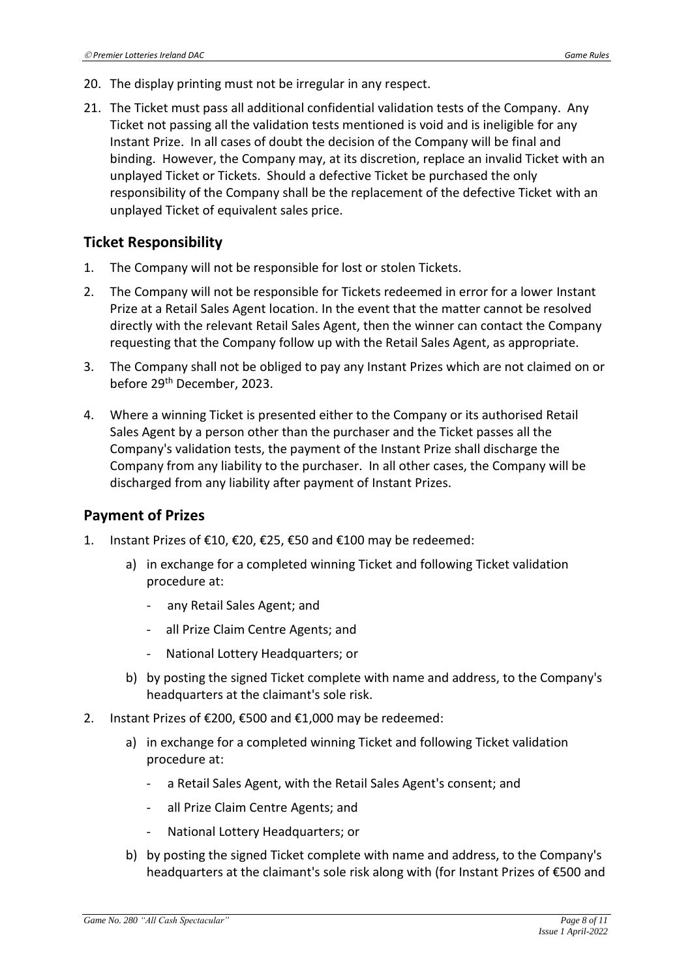- 20. The display printing must not be irregular in any respect.
- 21. The Ticket must pass all additional confidential validation tests of the Company. Any Ticket not passing all the validation tests mentioned is void and is ineligible for any Instant Prize. In all cases of doubt the decision of the Company will be final and binding. However, the Company may, at its discretion, replace an invalid Ticket with an unplayed Ticket or Tickets. Should a defective Ticket be purchased the only responsibility of the Company shall be the replacement of the defective Ticket with an unplayed Ticket of equivalent sales price.

### **Ticket Responsibility**

- 1. The Company will not be responsible for lost or stolen Tickets.
- 2. The Company will not be responsible for Tickets redeemed in error for a lower Instant Prize at a Retail Sales Agent location. In the event that the matter cannot be resolved directly with the relevant Retail Sales Agent, then the winner can contact the Company requesting that the Company follow up with the Retail Sales Agent, as appropriate.
- 3. The Company shall not be obliged to pay any Instant Prizes which are not claimed on or before 29th December, 2023.
- 4. Where a winning Ticket is presented either to the Company or its authorised Retail Sales Agent by a person other than the purchaser and the Ticket passes all the Company's validation tests, the payment of the Instant Prize shall discharge the Company from any liability to the purchaser. In all other cases, the Company will be discharged from any liability after payment of Instant Prizes.

# **Payment of Prizes**

- 1. Instant Prizes of €10, €20, €25, €50 and €100 may be redeemed:
	- a) in exchange for a completed winning Ticket and following Ticket validation procedure at:
		- any Retail Sales Agent; and
		- all Prize Claim Centre Agents; and
		- National Lottery Headquarters; or
	- b) by posting the signed Ticket complete with name and address, to the Company's headquarters at the claimant's sole risk.
- 2. Instant Prizes of €200, €500 and €1,000 may be redeemed:
	- a) in exchange for a completed winning Ticket and following Ticket validation procedure at:
		- a Retail Sales Agent, with the Retail Sales Agent's consent; and
		- all Prize Claim Centre Agents; and
		- National Lottery Headquarters; or
	- b) by posting the signed Ticket complete with name and address, to the Company's headquarters at the claimant's sole risk along with (for Instant Prizes of €500 and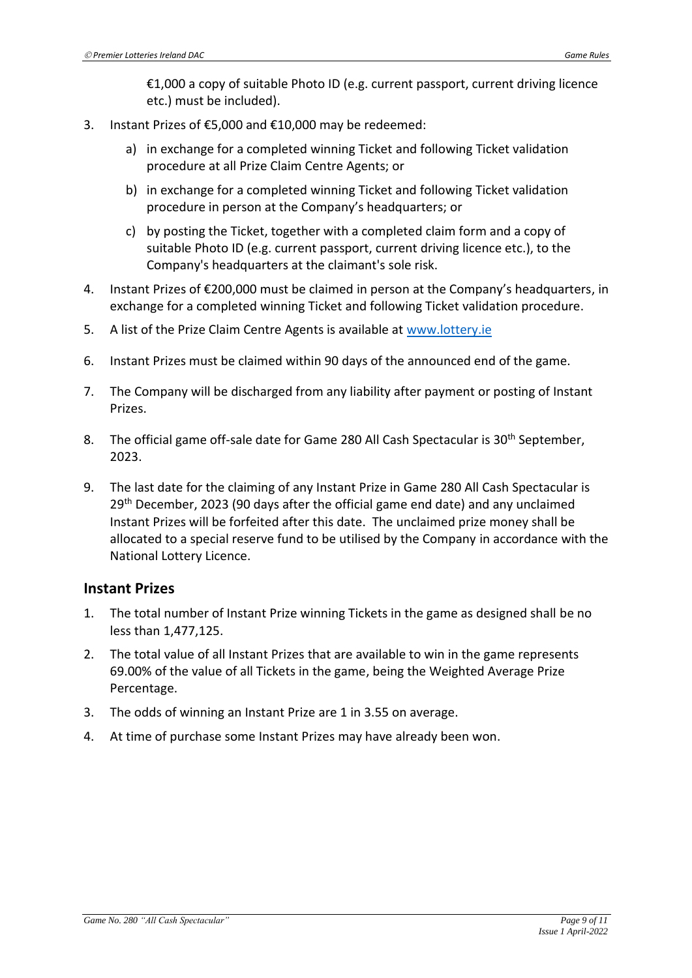€1,000 a copy of suitable Photo ID (e.g. current passport, current driving licence etc.) must be included).

- 3. Instant Prizes of €5,000 and €10,000 may be redeemed:
	- a) in exchange for a completed winning Ticket and following Ticket validation procedure at all Prize Claim Centre Agents; or
	- b) in exchange for a completed winning Ticket and following Ticket validation procedure in person at the Company's headquarters; or
	- c) by posting the Ticket, together with a completed claim form and a copy of suitable Photo ID (e.g. current passport, current driving licence etc.), to the Company's headquarters at the claimant's sole risk.
- 4. Instant Prizes of €200,000 must be claimed in person at the Company's headquarters, in exchange for a completed winning Ticket and following Ticket validation procedure.
- 5. A list of the Prize Claim Centre Agents is available at [www.lottery.ie](http://www.lottery.ie/)
- 6. Instant Prizes must be claimed within 90 days of the announced end of the game.
- 7. The Company will be discharged from any liability after payment or posting of Instant Prizes.
- 8. The official game off-sale date for Game 280 All Cash Spectacular is  $30<sup>th</sup>$  September, 2023.
- 9. The last date for the claiming of any Instant Prize in Game 280 All Cash Spectacular is 29<sup>th</sup> December, 2023 (90 days after the official game end date) and any unclaimed Instant Prizes will be forfeited after this date. The unclaimed prize money shall be allocated to a special reserve fund to be utilised by the Company in accordance with the National Lottery Licence.

### **Instant Prizes**

- 1. The total number of Instant Prize winning Tickets in the game as designed shall be no less than 1,477,125.
- 2. The total value of all Instant Prizes that are available to win in the game represents 69.00% of the value of all Tickets in the game, being the Weighted Average Prize Percentage.
- 3. The odds of winning an Instant Prize are 1 in 3.55 on average.
- 4. At time of purchase some Instant Prizes may have already been won.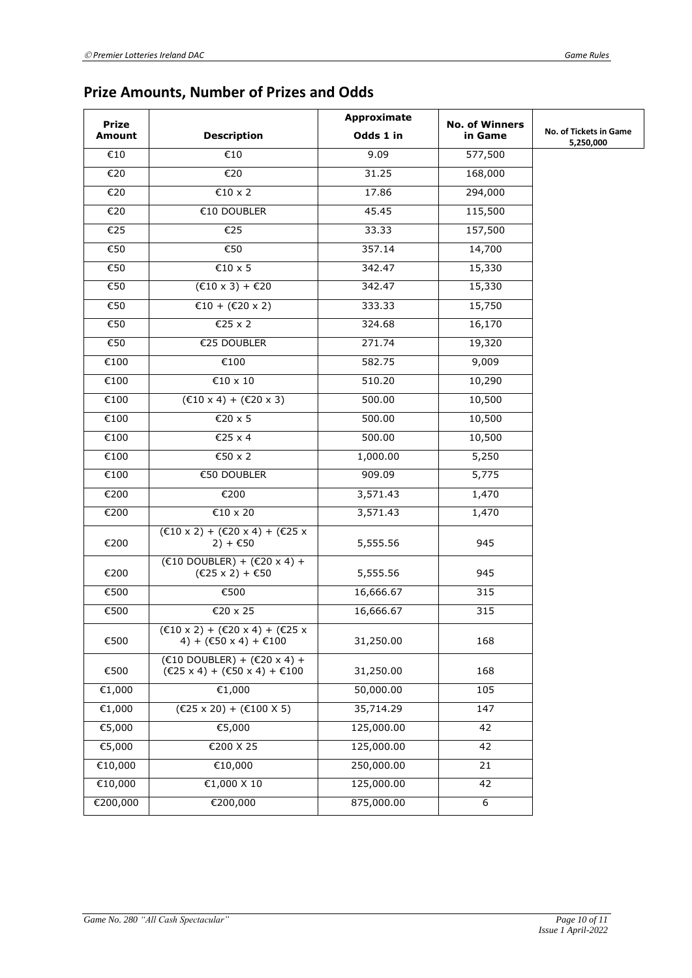# **Prize Amounts, Number of Prizes and Odds**

| <b>Prize</b>             |                                                                          | Approximate | <b>No. of Winners</b> |                                     |  |  |
|--------------------------|--------------------------------------------------------------------------|-------------|-----------------------|-------------------------------------|--|--|
| Amount                   | <b>Description</b>                                                       | Odds 1 in   | in Game               | No. of Tickets in Game<br>5,250,000 |  |  |
| €10                      | €10                                                                      | 9.09        | 577,500               |                                     |  |  |
| €20                      | €20                                                                      | 31.25       | 168,000               |                                     |  |  |
| €20                      | $E10 \times 2$                                                           | 17.86       | 294,000               |                                     |  |  |
| €20                      | €10 DOUBLER                                                              | 45.45       | 115,500               |                                     |  |  |
| E25                      | €25                                                                      | 33.33       | 157,500               |                                     |  |  |
| $\overline{\epsilon}$ 50 | $\overline{\epsilon}$ 50                                                 | 357.14      | 14,700                |                                     |  |  |
| €50                      | $E10 \times 5$                                                           | 342.47      | 15,330                |                                     |  |  |
| €50                      | $(€10 \times 3) + €20$                                                   | 342.47      | 15,330                |                                     |  |  |
| €50                      | €10 + (€20 x 2)                                                          | 333.33      | 15,750                |                                     |  |  |
| €50                      | €25 x 2                                                                  | 324.68      | 16,170                |                                     |  |  |
| €50                      | €25 DOUBLER                                                              | 271.74      | 19,320                |                                     |  |  |
| €100                     | $\overline{\epsilon}$ 100                                                | 582.75      | 9,009                 |                                     |  |  |
| €100                     | $\overline{610\times10}$                                                 | 510.20      | 10,290                |                                     |  |  |
| €100                     | $(610 \times 4) + (620 \times 3)$                                        | 500.00      | 10,500                |                                     |  |  |
| €100                     | $\overline{\epsilon}$ 20 x 5                                             | 500.00      | 10,500                |                                     |  |  |
| €100                     | €25 x 4                                                                  | 500.00      | 10,500                |                                     |  |  |
| €100                     | €50 x 2                                                                  | 1,000.00    | 5,250                 |                                     |  |  |
| €100                     | €50 DOUBLER                                                              | 909.09      | 5,775                 |                                     |  |  |
| €200                     | E200                                                                     | 3,571.43    | 1,470                 |                                     |  |  |
| €200                     | €10 x 20                                                                 | 3,571.43    | 1,470                 |                                     |  |  |
| €200                     | $(610 \times 2) + (620 \times 4) + (625 \times$<br>$2) + €50$            | 5,555.56    | 945                   |                                     |  |  |
| €200                     | $(€10 DOUBLER) + (€20 x 4) +$<br>$(€25 \times 2) + €50$                  | 5,555.56    | 945                   |                                     |  |  |
| €500                     | €500                                                                     | 16,666.67   | 315                   |                                     |  |  |
| €500                     | €20 x 25                                                                 | 16,666.67   | 315                   |                                     |  |  |
| €500                     | $(610 \times 2) + (620 \times 4) + (625 \times$<br>4) + (€50 x 4) + €100 | 31,250.00   | 168                   |                                     |  |  |
| €500                     | $(€10 DOUBLER) + (€20 x 4) +$<br>$(€25 x 4) + (€50 x 4) + €100$          | 31,250.00   | 168                   |                                     |  |  |
| €1,000                   | €1,000                                                                   | 50,000.00   | 105                   |                                     |  |  |
| €1,000                   | $(625 \times 20) + (6100 \times 5)$                                      | 35,714.29   | 147                   |                                     |  |  |
| €5,000                   | €5,000                                                                   | 125,000.00  | 42                    |                                     |  |  |
| €5,000                   | €200 X 25                                                                | 125,000.00  | 42                    |                                     |  |  |
| €10,000                  | €10,000                                                                  | 250,000.00  | 21                    |                                     |  |  |
| €10,000                  | €1,000 X 10                                                              | 125,000.00  | 42                    |                                     |  |  |
| €200,000                 | €200,000                                                                 | 875,000.00  | $6\overline{}$        |                                     |  |  |